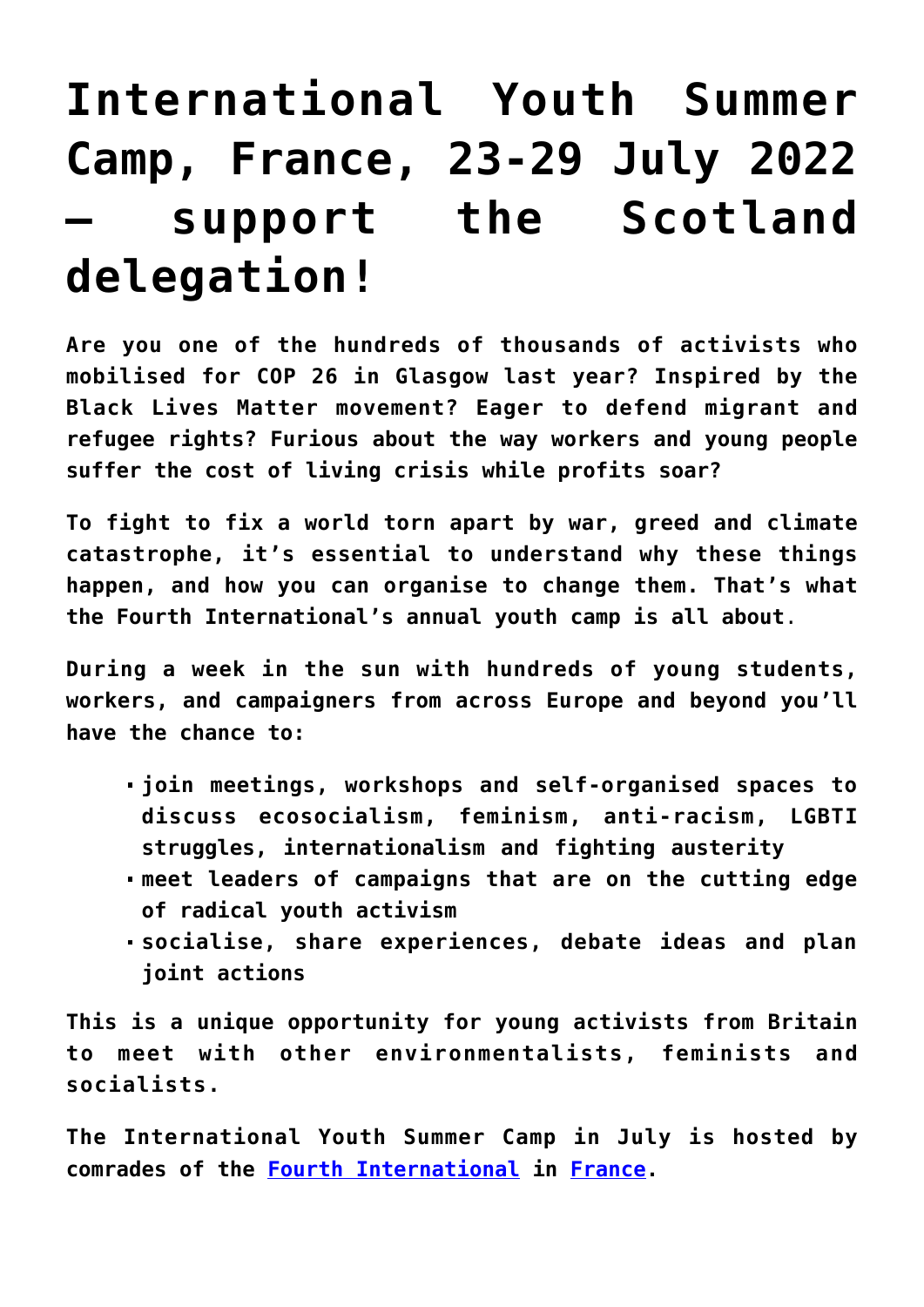## **[International Youth Summer](https://www.ecosocialist.scot/?p=1270) [Camp, France, 23-29 July 2022](https://www.ecosocialist.scot/?p=1270) [– support the Scotland](https://www.ecosocialist.scot/?p=1270) [delegation!](https://www.ecosocialist.scot/?p=1270)**

**Are you one of the hundreds of thousands of activists who mobilised for COP 26 in Glasgow last year? Inspired by the Black Lives Matter movement? Eager to defend migrant and refugee rights? Furious about the way workers and young people suffer the cost of living crisis while profits soar?**

**To fight to fix a world torn apart by war, greed and climate catastrophe, it's essential to understand why these things happen, and how you can organise to change them. That's what the Fourth International's annual youth camp is all about**.

**During a week in the sun with hundreds of young students, workers, and campaigners from across Europe and beyond you'll have the chance to:**

- **join meetings, workshops and self-organised spaces to discuss ecosocialism, feminism, anti-racism, LGBTI struggles, internationalism and fighting austerity**
- **meet leaders of campaigns that are on the cutting edge of radical youth activism**
- **socialise, share experiences, debate ideas and plan joint actions**

**This is a unique opportunity for young activists from Britain to meet with other environmentalists, feminists and socialists.**

**The International Youth Summer Camp in July is hosted by comrades of the [Fourth International](https://fourth.international/) in [France](https://fourth.international/en/organisations).**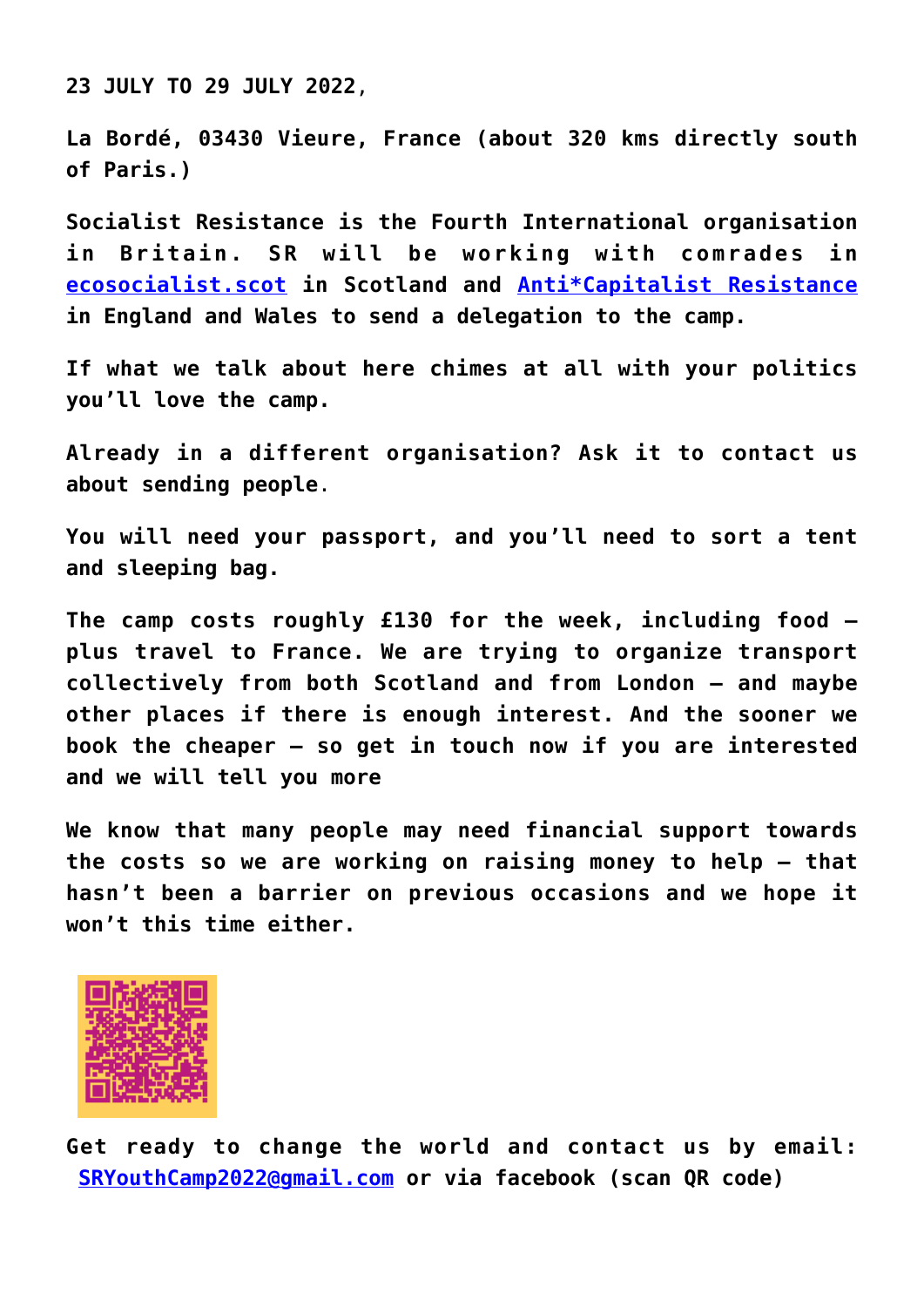**23 JULY TO 29 JULY 2022**,

**La Bordé, 03430 Vieure, France (about 320 kms directly south of Paris.)**

**Socialist Resistance is the Fourth International organisation in Britain. SR will be working with comrades in [ecosocialist.scot](http://www.ecosocialist.scot/) in Scotland and [Anti\\*Capitalist Resistance](https://anticapitalistresistance.org/) in England and Wales to send a delegation to the camp.**

**If what we talk about here chimes at all with your politics you'll love the camp.**

**Already in a different organisation? Ask it to contact us about sending people**.

**You will need your passport, and you'll need to sort a tent and sleeping bag.**

**The camp costs roughly £130 for the week, including food – plus travel to France. We are trying to organize transport collectively from both Scotland and from London – and maybe other places if there is enough interest. And the sooner we book the cheaper – so get in touch now if you are interested and we will tell you more**

**We know that many people may need financial support towards the costs so we are working on raising money to help – that hasn't been a barrier on previous occasions and we hope it won't this time either.**



**Get ready to change the world and contact us by email: [SRYouthCamp2022@gmail.com](mailto:SRYouthCamp2022@gmail.com) or via facebook (scan QR code)**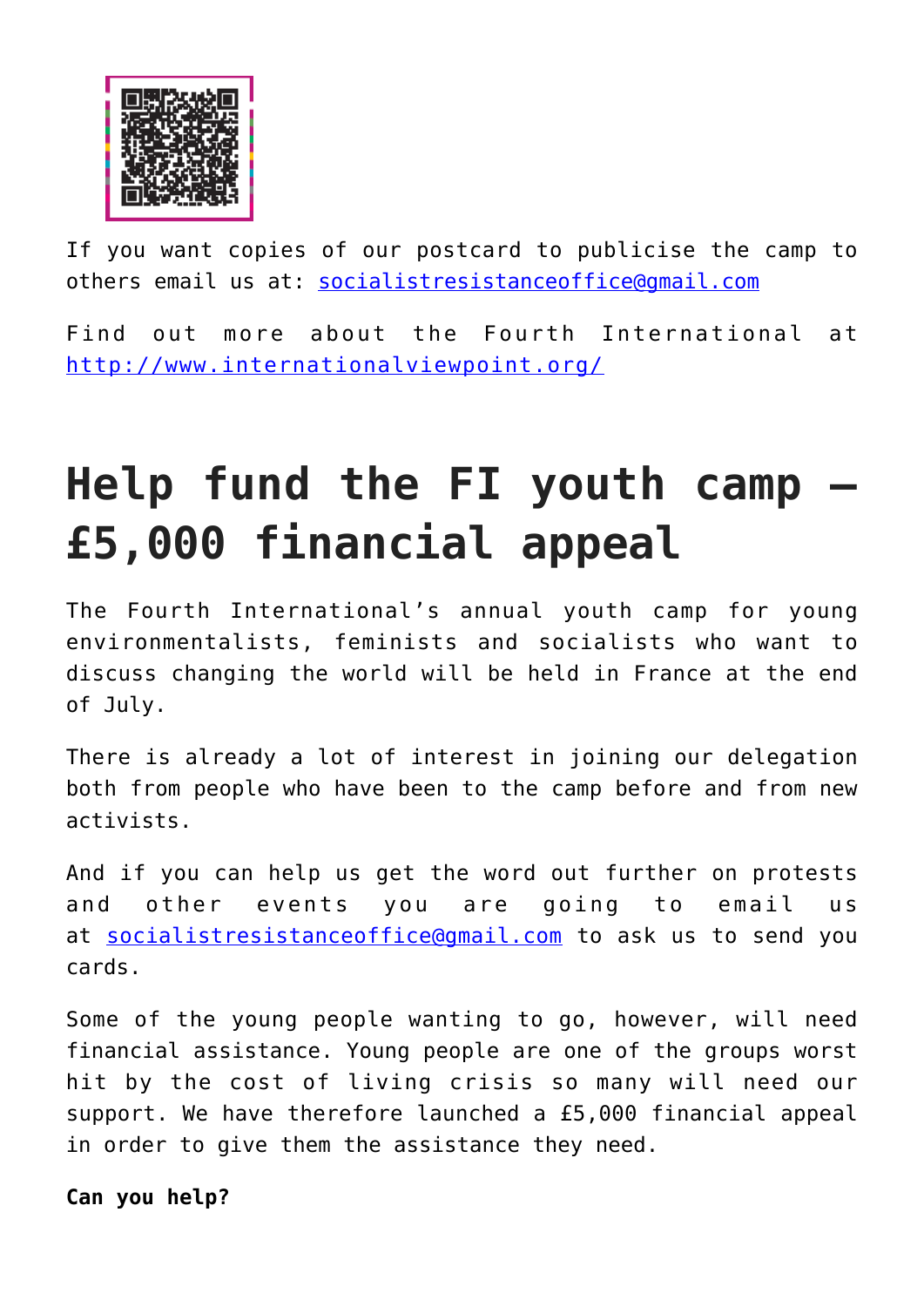

If you want copies of our postcard to publicise the camp to others email us at: [socialistresistanceoffice@gmail.com](mailto:socialistresistanceoffice@gmail.com)

Find out more about the Fourth International at <http://www.internationalviewpoint.org/>

## **Help fund the FI youth camp – £5,000 financial appeal**

The Fourth International's annual youth camp for young environmentalists, feminists and socialists who want to discuss changing the world will be held in France at the end of July.

There is already a lot of interest in joining our delegation both from people who have been to the camp before and from new activists.

And if you can help us get the word out further on protests and other events you are going to email us at [socialistresistanceoffice@gmail.com](mailto:socialistresistanceoffice@gmail.com) to ask us to send you cards.

Some of the young people wanting to go, however, will need financial assistance. Young people are one of the groups worst hit by the cost of living crisis so many will need our support. We have therefore launched a £5,000 financial appeal in order to give them the assistance they need.

**Can you help?**